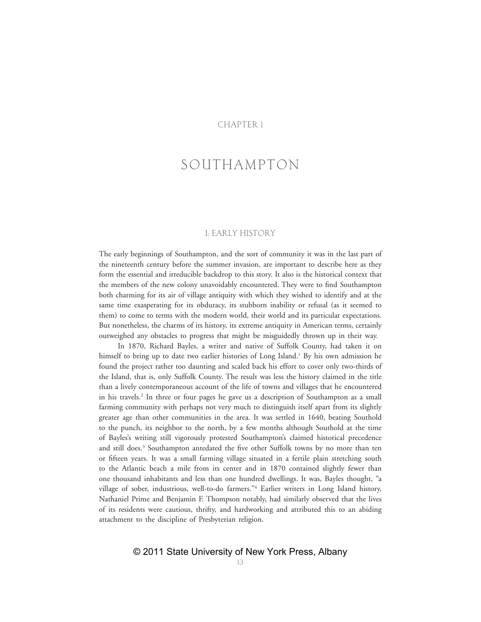#### CHAPTER 1

# SOUTHAMPTON

#### I: EARLY HISTORY

The early beginnings of Southampton, and the sort of community it was in the last part of the nineteenth century before the summer invasion, are important to describe here as they form the essential and irreducible backdrop to this story. It also is the historical context that the members of the new colony unavoidably encountered. They were to find Southampton both charming for its air of village antiquity with which they wished to identify and at the same time exasperating for its obduracy, its stubborn inability or refusal (as it seemed to them) to come to terms with the modern world, their world and its particular expectations. But nonetheless, the charms of its history, its extreme antiquity in American terms, certainly outweighed any obstacles to progress that might be misguidedly thrown up in their way.

In 1870, Richard Bayles, a writer and native of Suffolk County, had taken it on himself to bring up to date two earlier histories of Long Island.<sup>1</sup> By his own admission he found the project rather too daunting and scaled back his effort to cover only two-thirds of the Island, that is, only Suffolk County. The result was less the history claimed in the title than a lively contemporaneous account of the life of towns and villages that he encountered in his travels.<sup>2</sup> In three or four pages he gave us a description of Southampton as a small farming community with perhaps not very much to distinguish itself apart from its slightly greater age than other communities in the area. It was settled in 1640, beating Southold to the punch, its neighbor to the north, by a few months although Southold at the time of Bayles's writing still vigorously protested Southampton's claimed historical precedence and still does.<sup>3</sup> Southampton antedated the five other Suffolk towns by no more than ten or fifteen years. It was a small farming village situated in a fertile plain stretching south to the Atlantic beach a mile from its center and in 1870 contained slightly fewer than one thousand inhabitants and less than one hundred dwellings. It was, Bayles thought, "a village of sober, industrious, well-to-do farmers."4 Earlier writers in Long Island history, Nathaniel Prime and Benjamin F. Thompson notably, had similarly observed that the lives of its residents were cautious, thrifty, and hardworking and attributed this to an abiding attachment to the discipline of Presbyterian religion.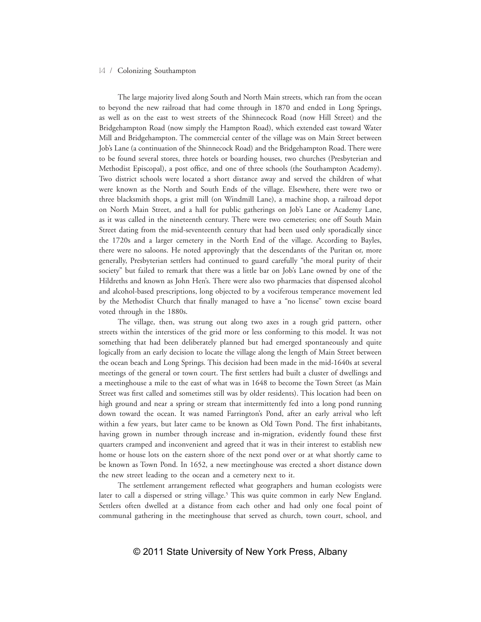The large majority lived along South and North Main streets, which ran from the ocean to beyond the new railroad that had come through in 1870 and ended in Long Springs, as well as on the east to west streets of the Shinnecock Road (now Hill Street) and the Bridgehampton Road (now simply the Hampton Road), which extended east toward Water Mill and Bridgehampton. The commercial center of the village was on Main Street between Job's Lane (a continuation of the Shinnecock Road) and the Bridgehampton Road. There were to be found several stores, three hotels or boarding houses, two churches (Presbyterian and Methodist Episcopal), a post office, and one of three schools (the Southampton Academy). Two district schools were located a short distance away and served the children of what were known as the North and South Ends of the village. Elsewhere, there were two or three blacksmith shops, a grist mill (on Windmill Lane), a machine shop, a railroad depot on North Main Street, and a hall for public gatherings on Job's Lane or Academy Lane, as it was called in the nineteenth century. There were two cemeteries; one off South Main Street dating from the mid-seventeenth century that had been used only sporadically since the 1720s and a larger cemetery in the North End of the village. According to Bayles, there were no saloons. He noted approvingly that the descendants of the Puritan or, more generally, Presbyterian settlers had continued to guard carefully "the moral purity of their society" but failed to remark that there was a little bar on Job's Lane owned by one of the Hildreths and known as John Hen's. There were also two pharmacies that dispensed alcohol and alcohol-based prescriptions, long objected to by a vociferous temperance movement led by the Methodist Church that finally managed to have a "no license" town excise board voted through in the 1880s.

The village, then, was strung out along two axes in a rough grid pattern, other streets within the interstices of the grid more or less conforming to this model. It was not something that had been deliberately planned but had emerged spontaneously and quite logically from an early decision to locate the village along the length of Main Street between the ocean beach and Long Springs. This decision had been made in the mid-1640s at several meetings of the general or town court. The first settlers had built a cluster of dwellings and a meetinghouse a mile to the east of what was in 1648 to become the Town Street (as Main Street was first called and sometimes still was by older residents). This location had been on high ground and near a spring or stream that intermittently fed into a long pond running down toward the ocean. It was named Farrington's Pond, after an early arrival who left within a few years, but later came to be known as Old Town Pond. The first inhabitants, having grown in number through increase and in-migration, evidently found these first quarters cramped and inconvenient and agreed that it was in their interest to establish new home or house lots on the eastern shore of the next pond over or at what shortly came to be known as Town Pond. In 1652, a new meetinghouse was erected a short distance down the new street leading to the ocean and a cemetery next to it.

The settlement arrangement reflected what geographers and human ecologists were later to call a dispersed or string village.<sup>5</sup> This was quite common in early New England. Settlers often dwelled at a distance from each other and had only one focal point of communal gathering in the meetinghouse that served as church, town court, school, and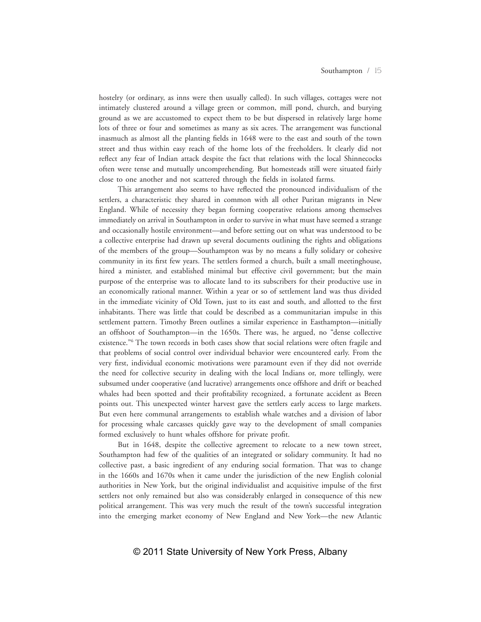hostelry (or ordinary, as inns were then usually called). In such villages, cottages were not intimately clustered around a village green or common, mill pond, church, and burying ground as we are accustomed to expect them to be but dispersed in relatively large home lots of three or four and sometimes as many as six acres. The arrangement was functional inasmuch as almost all the planting fields in 1648 were to the east and south of the town street and thus within easy reach of the home lots of the freeholders. It clearly did not reflect any fear of Indian attack despite the fact that relations with the local Shinnecocks often were tense and mutually uncomprehending. But homesteads still were situated fairly close to one another and not scattered through the fields in isolated farms.

This arrangement also seems to have reflected the pronounced individualism of the settlers, a characteristic they shared in common with all other Puritan migrants in New England. While of necessity they began forming cooperative relations among themselves immediately on arrival in Southampton in order to survive in what must have seemed a strange and occasionally hostile environment—and before setting out on what was understood to be a collective enterprise had drawn up several documents outlining the rights and obligations of the members of the group—Southampton was by no means a fully solidary or cohesive community in its first few years. The settlers formed a church, built a small meetinghouse, hired a minister, and established minimal but effective civil government; but the main purpose of the enterprise was to allocate land to its subscribers for their productive use in an economically rational manner. Within a year or so of settlement land was thus divided in the immediate vicinity of Old Town, just to its east and south, and allotted to the first inhabitants. There was little that could be described as a communitarian impulse in this settlement pattern. Timothy Breen outlines a similar experience in Easthampton—initially an offshoot of Southampton—in the 1650s. There was, he argued, no "dense collective existence."<sup>6</sup> The town records in both cases show that social relations were often fragile and that problems of social control over individual behavior were encountered early. From the very first, individual economic motivations were paramount even if they did not override the need for collective security in dealing with the local Indians or, more tellingly, were subsumed under cooperative (and lucrative) arrangements once offshore and drift or beached whales had been spotted and their profitability recognized, a fortunate accident as Breen points out. This unexpected winter harvest gave the settlers early access to large markets. But even here communal arrangements to establish whale watches and a division of labor for processing whale carcasses quickly gave way to the development of small companies formed exclusively to hunt whales offshore for private profit.

But in 1648, despite the collective agreement to relocate to a new town street, Southampton had few of the qualities of an integrated or solidary community. It had no collective past, a basic ingredient of any enduring social formation. That was to change in the 1660s and 1670s when it came under the jurisdiction of the new English colonial authorities in New York, but the original individualist and acquisitive impulse of the first settlers not only remained but also was considerably enlarged in consequence of this new political arrangement. This was very much the result of the town's successful integration into the emerging market economy of New England and New York—the new Atlantic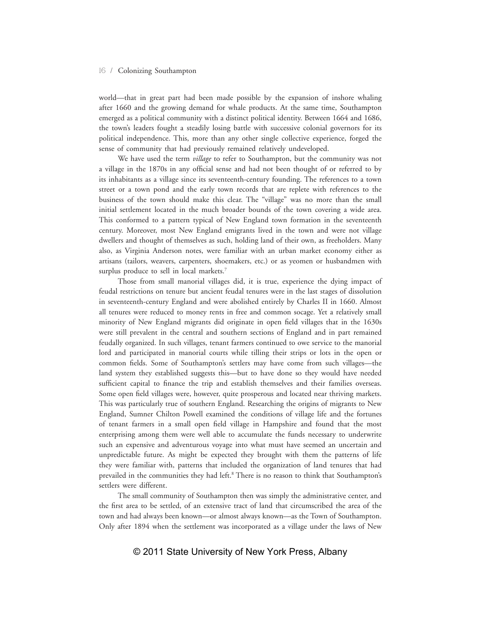world—that in great part had been made possible by the expansion of inshore whaling after 1660 and the growing demand for whale products. At the same time, Southampton emerged as a political community with a distinct political identity. Between 1664 and 1686, the town's leaders fought a steadily losing battle with successive colonial governors for its political independence. This, more than any other single collective experience, forged the sense of community that had previously remained relatively undeveloped.

We have used the term *village* to refer to Southampton, but the community was not a village in the 1870s in any official sense and had not been thought of or referred to by its inhabitants as a village since its seventeenth-century founding. The references to a town street or a town pond and the early town records that are replete with references to the business of the town should make this clear. The "village" was no more than the small initial settlement located in the much broader bounds of the town covering a wide area. This conformed to a pattern typical of New England town formation in the seventeenth century. Moreover, most New England emigrants lived in the town and were not village dwellers and thought of themselves as such, holding land of their own, as freeholders. Many also, as Virginia Anderson notes, were familiar with an urban market economy either as artisans (tailors, weavers, carpenters, shoemakers, etc.) or as yeomen or husbandmen with surplus produce to sell in local markets.<sup>7</sup>

Those from small manorial villages did, it is true, experience the dying impact of feudal restrictions on tenure but ancient feudal tenures were in the last stages of dissolution in seventeenth-century England and were abolished entirely by Charles II in 1660. Almost all tenures were reduced to money rents in free and common socage. Yet a relatively small minority of New England migrants did originate in open field villages that in the 1630s were still prevalent in the central and southern sections of England and in part remained feudally organized. In such villages, tenant farmers continued to owe service to the manorial lord and participated in manorial courts while tilling their strips or lots in the open or common fields. Some of Southampton's settlers may have come from such villages—the land system they established suggests this—but to have done so they would have needed sufficient capital to finance the trip and establish themselves and their families overseas. Some open field villages were, however, quite prosperous and located near thriving markets. This was particularly true of southern England. Researching the origins of migrants to New England, Sumner Chilton Powell examined the conditions of village life and the fortunes of tenant farmers in a small open field village in Hampshire and found that the most enterprising among them were well able to accumulate the funds necessary to underwrite such an expensive and adventurous voyage into what must have seemed an uncertain and unpredictable future. As might be expected they brought with them the patterns of life they were familiar with, patterns that included the organization of land tenures that had prevailed in the communities they had left.<sup>8</sup> There is no reason to think that Southampton's settlers were different.

The small community of Southampton then was simply the administrative center, and the first area to be settled, of an extensive tract of land that circumscribed the area of the town and had always been known—or almost always known—as the Town of Southampton. Only after 1894 when the settlement was incorporated as a village under the laws of New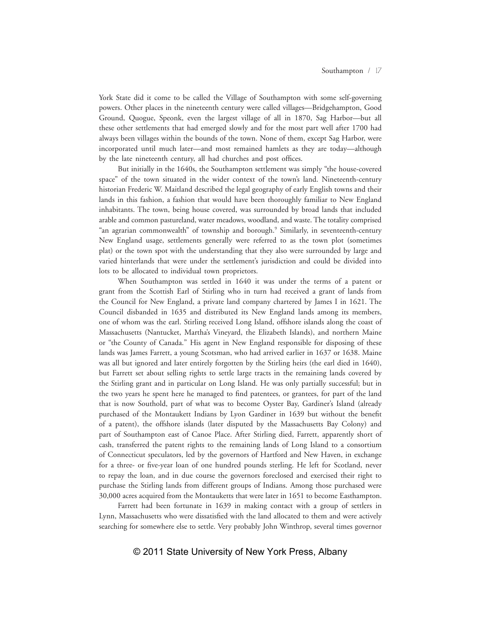York State did it come to be called the Village of Southampton with some self-governing powers. Other places in the nineteenth century were called villages—Bridgehampton, Good Ground, Quogue, Speonk, even the largest village of all in 1870, Sag Harbor—but all these other settlements that had emerged slowly and for the most part well after 1700 had always been villages within the bounds of the town. None of them, except Sag Harbor, were incorporated until much later—and most remained hamlets as they are today—although by the late nineteenth century, all had churches and post offices.

But initially in the 1640s, the Southampton settlement was simply "the house-covered space" of the town situated in the wider context of the town's land. Nineteenth-century historian Frederic W. Maitland described the legal geography of early English towns and their lands in this fashion, a fashion that would have been thoroughly familiar to New England inhabitants. The town, being house covered, was surrounded by broad lands that included arable and common pastureland, water meadows, woodland, and waste. The totality comprised "an agrarian commonwealth" of township and borough.9 Similarly, in seventeenth-century New England usage, settlements generally were referred to as the town plot (sometimes plat) or the town spot with the understanding that they also were surrounded by large and varied hinterlands that were under the settlement's jurisdiction and could be divided into lots to be allocated to individual town proprietors.

When Southampton was settled in 1640 it was under the terms of a patent or grant from the Scottish Earl of Stirling who in turn had received a grant of lands from the Council for New England, a private land company chartered by James I in 1621. The Council disbanded in 1635 and distributed its New England lands among its members, one of whom was the earl. Stirling received Long Island, offshore islands along the coast of Massachusetts (Nantucket, Martha's Vineyard, the Elizabeth Islands), and northern Maine or "the County of Canada." His agent in New England responsible for disposing of these lands was James Farrett, a young Scotsman, who had arrived earlier in 1637 or 1638. Maine was all but ignored and later entirely forgotten by the Stirling heirs (the earl died in 1640), but Farrett set about selling rights to settle large tracts in the remaining lands covered by the Stirling grant and in particular on Long Island. He was only partially successful; but in the two years he spent here he managed to find patentees, or grantees, for part of the land that is now Southold, part of what was to become Oyster Bay, Gardiner's Island (already purchased of the Montaukett Indians by Lyon Gardiner in 1639 but without the benefit of a patent), the offshore islands (later disputed by the Massachusetts Bay Colony) and part of Southampton east of Canoe Place. After Stirling died, Farrett, apparently short of cash, transferred the patent rights to the remaining lands of Long Island to a consortium of Connecticut speculators, led by the governors of Hartford and New Haven, in exchange for a three- or five-year loan of one hundred pounds sterling. He left for Scotland, never to repay the loan, and in due course the governors foreclosed and exercised their right to purchase the Stirling lands from different groups of Indians. Among those purchased were 30,000 acres acquired from the Montauketts that were later in 1651 to become Easthampton.

Farrett had been fortunate in 1639 in making contact with a group of settlers in Lynn, Massachusetts who were dissatisfied with the land allocated to them and were actively searching for somewhere else to settle. Very probably John Winthrop, several times governor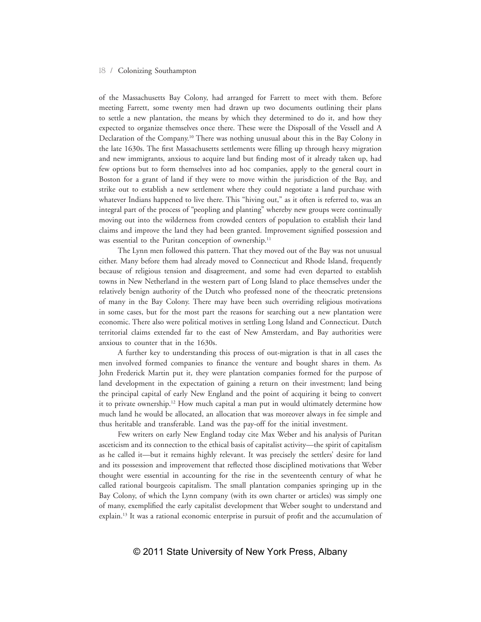of the Massachusetts Bay Colony, had arranged for Farrett to meet with them. Before meeting Farrett, some twenty men had drawn up two documents outlining their plans to settle a new plantation, the means by which they determined to do it, and how they expected to organize themselves once there. These were the Disposall of the Vessell and A Declaration of the Company.10 There was nothing unusual about this in the Bay Colony in the late 1630s. The first Massachusetts settlements were filling up through heavy migration and new immigrants, anxious to acquire land but finding most of it already taken up, had few options but to form themselves into ad hoc companies, apply to the general court in Boston for a grant of land if they were to move within the jurisdiction of the Bay, and strike out to establish a new settlement where they could negotiate a land purchase with whatever Indians happened to live there. This "hiving out," as it often is referred to, was an integral part of the process of "peopling and planting" whereby new groups were continually moving out into the wilderness from crowded centers of population to establish their land claims and improve the land they had been granted. Improvement signified possession and was essential to the Puritan conception of ownership.<sup>11</sup>

The Lynn men followed this pattern. That they moved out of the Bay was not unusual either. Many before them had already moved to Connecticut and Rhode Island, frequently because of religious tension and disagreement, and some had even departed to establish towns in New Netherland in the western part of Long Island to place themselves under the relatively benign authority of the Dutch who professed none of the theocratic pretensions of many in the Bay Colony. There may have been such overriding religious motivations in some cases, but for the most part the reasons for searching out a new plantation were economic. There also were political motives in settling Long Island and Connecticut. Dutch territorial claims extended far to the east of New Amsterdam, and Bay authorities were anxious to counter that in the 1630s.

A further key to understanding this process of out-migration is that in all cases the men involved formed companies to finance the venture and bought shares in them. As John Frederick Martin put it, they were plantation companies formed for the purpose of land development in the expectation of gaining a return on their investment; land being the principal capital of early New England and the point of acquiring it being to convert it to private ownership.12 How much capital a man put in would ultimately determine how much land he would be allocated, an allocation that was moreover always in fee simple and thus heritable and transferable. Land was the pay-off for the initial investment.

Few writers on early New England today cite Max Weber and his analysis of Puritan asceticism and its connection to the ethical basis of capitalist activity—the spirit of capitalism as he called it—but it remains highly relevant. It was precisely the settlers' desire for land and its possession and improvement that reflected those disciplined motivations that Weber thought were essential in accounting for the rise in the seventeenth century of what he called rational bourgeois capitalism. The small plantation companies springing up in the Bay Colony, of which the Lynn company (with its own charter or articles) was simply one of many, exemplified the early capitalist development that Weber sought to understand and explain.<sup>13</sup> It was a rational economic enterprise in pursuit of profit and the accumulation of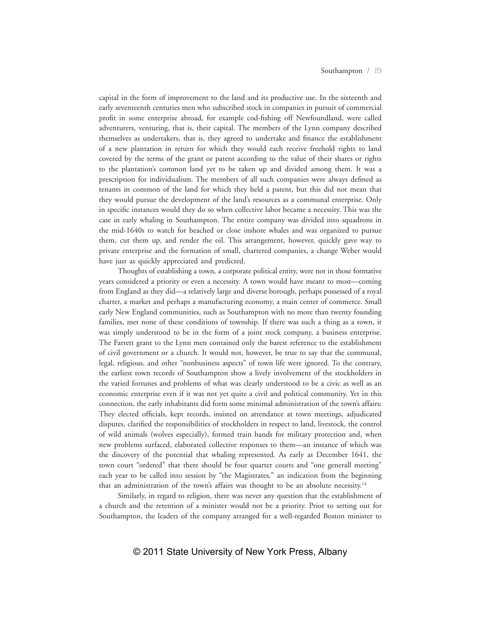capital in the form of improvement to the land and its productive use. In the sixteenth and early seventeenth centuries men who subscribed stock in companies in pursuit of commercial profit in some enterprise abroad, for example cod-fishing off Newfoundland, were called adventurers, venturing, that is, their capital. The members of the Lynn company described themselves as undertakers, that is, they agreed to undertake and finance the establishment of a new plantation in return for which they would each receive freehold rights to land covered by the terms of the grant or patent according to the value of their shares or rights to the plantation's common land yet to be taken up and divided among them. It was a prescription for individualism. The members of all such companies were always defined as tenants in common of the land for which they held a patent, but this did not mean that they would pursue the development of the land's resources as a communal enterprise. Only in specific instances would they do so when collective labor became a necessity. This was the case in early whaling in Southampton. The entire company was divided into squadrons in the mid-1640s to watch for beached or close inshore whales and was organized to pursue them, cut them up, and render the oil. This arrangement, however, quickly gave way to private enterprise and the formation of small, chartered companies, a change Weber would have just as quickly appreciated and predicted.

Thoughts of establishing a town, a corporate political entity, were not in those formative years considered a priority or even a necessity. A town would have meant to most—coming from England as they did—a relatively large and diverse borough, perhaps possessed of a royal charter, a market and perhaps a manufacturing economy, a main center of commerce. Small early New England communities, such as Southampton with no more than twenty founding families, met none of these conditions of township. If there was such a thing as a town, it was simply understood to be in the form of a joint stock company, a business enterprise. The Farrett grant to the Lynn men contained only the barest reference to the establishment of civil government or a church. It would not, however, be true to say that the communal, legal, religious, and other "nonbusiness aspects" of town life were ignored. To the contrary, the earliest town records of Southampton show a lively involvement of the stockholders in the varied fortunes and problems of what was clearly understood to be a civic as well as an economic enterprise even if it was not yet quite a civil and political community. Yet in this connection, the early inhabitants did form some minimal administration of the town's affairs: They elected officials, kept records, insisted on attendance at town meetings, adjudicated disputes, clarified the responsibilities of stockholders in respect to land, livestock, the control of wild animals (wolves especially), formed train bands for military protection and, when new problems surfaced, elaborated collective responses to them—an instance of which was the discovery of the potential that whaling represented. As early as December 1641, the town court "ordered" that there should be four quarter courts and "one generall meeting" each year to be called into session by "the Magistrates," an indication from the beginning that an administration of the town's affairs was thought to be an absolute necessity.<sup>14</sup>

Similarly, in regard to religion, there was never any question that the establishment of a church and the retention of a minister would not be a priority. Prior to setting out for Southampton, the leaders of the company arranged for a well-regarded Boston minister to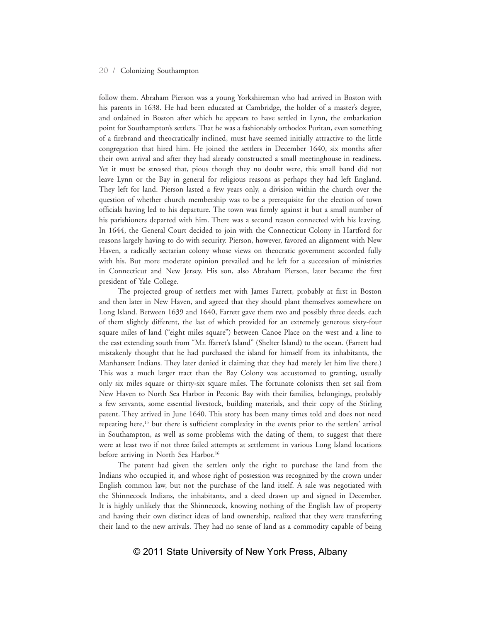follow them. Abraham Pierson was a young Yorkshireman who had arrived in Boston with his parents in 1638. He had been educated at Cambridge, the holder of a master's degree, and ordained in Boston after which he appears to have settled in Lynn, the embarkation point for Southampton's settlers. That he was a fashionably orthodox Puritan, even something of a firebrand and theocratically inclined, must have seemed initially attractive to the little congregation that hired him. He joined the settlers in December 1640, six months after their own arrival and after they had already constructed a small meetinghouse in readiness. Yet it must be stressed that, pious though they no doubt were, this small band did not leave Lynn or the Bay in general for religious reasons as perhaps they had left England. They left for land. Pierson lasted a few years only, a division within the church over the question of whether church membership was to be a prerequisite for the election of town officials having led to his departure. The town was firmly against it but a small number of his parishioners departed with him. There was a second reason connected with his leaving. In 1644, the General Court decided to join with the Connecticut Colony in Hartford for reasons largely having to do with security. Pierson, however, favored an alignment with New Haven, a radically sectarian colony whose views on theocratic government accorded fully with his. But more moderate opinion prevailed and he left for a succession of ministries in Connecticut and New Jersey. His son, also Abraham Pierson, later became the first president of Yale College.

The projected group of settlers met with James Farrett, probably at first in Boston and then later in New Haven, and agreed that they should plant themselves somewhere on Long Island. Between 1639 and 1640, Farrett gave them two and possibly three deeds, each of them slightly different, the last of which provided for an extremely generous sixty-four square miles of land ("eight miles square") between Canoe Place on the west and a line to the east extending south from "Mr. ffarret's Island" (Shelter Island) to the ocean. (Farrett had mistakenly thought that he had purchased the island for himself from its inhabitants, the Manhansett Indians. They later denied it claiming that they had merely let him live there.) This was a much larger tract than the Bay Colony was accustomed to granting, usually only six miles square or thirty-six square miles. The fortunate colonists then set sail from New Haven to North Sea Harbor in Peconic Bay with their families, belongings, probably a few servants, some essential livestock, building materials, and their copy of the Stirling patent. They arrived in June 1640. This story has been many times told and does not need repeating here,<sup>15</sup> but there is sufficient complexity in the events prior to the settlers' arrival in Southampton, as well as some problems with the dating of them, to suggest that there were at least two if not three failed attempts at settlement in various Long Island locations before arriving in North Sea Harbor.<sup>16</sup>

The patent had given the settlers only the right to purchase the land from the Indians who occupied it, and whose right of possession was recognized by the crown under English common law, but not the purchase of the land itself. A sale was negotiated with the Shinnecock Indians, the inhabitants, and a deed drawn up and signed in December. It is highly unlikely that the Shinnecock, knowing nothing of the English law of property and having their own distinct ideas of land ownership, realized that they were transferring their land to the new arrivals. They had no sense of land as a commodity capable of being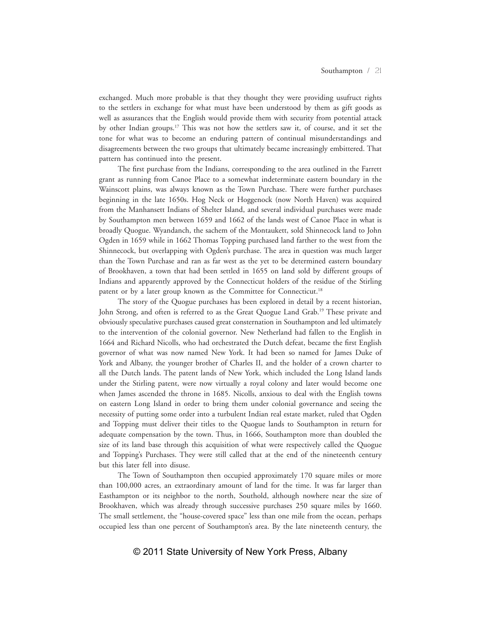exchanged. Much more probable is that they thought they were providing usufruct rights to the settlers in exchange for what must have been understood by them as gift goods as well as assurances that the English would provide them with security from potential attack by other Indian groups.17 This was not how the settlers saw it, of course, and it set the tone for what was to become an enduring pattern of continual misunderstandings and disagreements between the two groups that ultimately became increasingly embittered. That pattern has continued into the present.

The first purchase from the Indians, corresponding to the area outlined in the Farrett grant as running from Canoe Place to a somewhat indeterminate eastern boundary in the Wainscott plains, was always known as the Town Purchase. There were further purchases beginning in the late 1650s. Hog Neck or Hoggenock (now North Haven) was acquired from the Manhansett Indians of Shelter Island, and several individual purchases were made by Southampton men between 1659 and 1662 of the lands west of Canoe Place in what is broadly Quogue. Wyandanch, the sachem of the Montaukett, sold Shinnecock land to John Ogden in 1659 while in 1662 Thomas Topping purchased land farther to the west from the Shinnecock, but overlapping with Ogden's purchase. The area in question was much larger than the Town Purchase and ran as far west as the yet to be determined eastern boundary of Brookhaven, a town that had been settled in 1655 on land sold by different groups of Indians and apparently approved by the Connecticut holders of the residue of the Stirling patent or by a later group known as the Committee for Connecticut.<sup>18</sup>

The story of the Quogue purchases has been explored in detail by a recent historian, John Strong, and often is referred to as the Great Quogue Land Grab.<sup>19</sup> These private and obviously speculative purchases caused great consternation in Southampton and led ultimately to the intervention of the colonial governor. New Netherland had fallen to the English in 1664 and Richard Nicolls, who had orchestrated the Dutch defeat, became the first English governor of what was now named New York. It had been so named for James Duke of York and Albany, the younger brother of Charles II, and the holder of a crown charter to all the Dutch lands. The patent lands of New York, which included the Long Island lands under the Stirling patent, were now virtually a royal colony and later would become one when James ascended the throne in 1685. Nicolls, anxious to deal with the English towns on eastern Long Island in order to bring them under colonial governance and seeing the necessity of putting some order into a turbulent Indian real estate market, ruled that Ogden and Topping must deliver their titles to the Quogue lands to Southampton in return for adequate compensation by the town. Thus, in 1666, Southampton more than doubled the size of its land base through this acquisition of what were respectively called the Quogue and Topping's Purchases. They were still called that at the end of the nineteenth century but this later fell into disuse.

The Town of Southampton then occupied approximately 170 square miles or more than 100,000 acres, an extraordinary amount of land for the time. It was far larger than Easthampton or its neighbor to the north, Southold, although nowhere near the size of Brookhaven, which was already through successive purchases 250 square miles by 1660. The small settlement, the "house-covered space" less than one mile from the ocean, perhaps occupied less than one percent of Southampton's area. By the late nineteenth century, the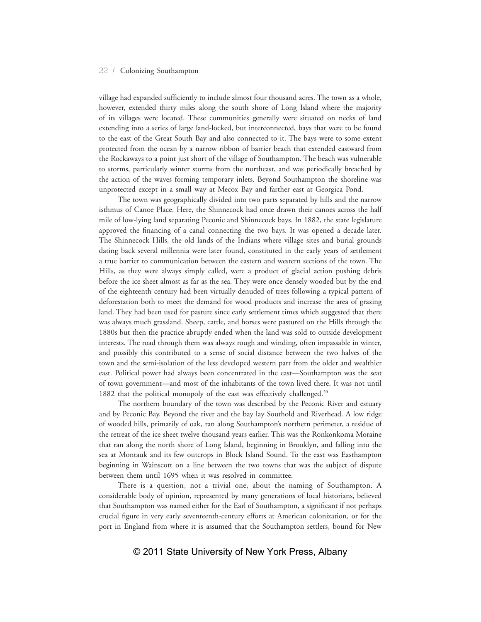village had expanded sufficiently to include almost four thousand acres. The town as a whole, however, extended thirty miles along the south shore of Long Island where the majority of its villages were located. These communities generally were situated on necks of land extending into a series of large land-locked, but interconnected, bays that were to be found to the east of the Great South Bay and also connected to it. The bays were to some extent protected from the ocean by a narrow ribbon of barrier beach that extended eastward from the Rockaways to a point just short of the village of Southampton. The beach was vulnerable to storms, particularly winter storms from the northeast, and was periodically breached by the action of the waves forming temporary inlets. Beyond Southampton the shoreline was unprotected except in a small way at Mecox Bay and farther east at Georgica Pond.

The town was geographically divided into two parts separated by hills and the narrow isthmus of Canoe Place. Here, the Shinnecock had once drawn their canoes across the half mile of low-lying land separating Peconic and Shinnecock bays. In 1882, the state legislature approved the financing of a canal connecting the two bays. It was opened a decade later. The Shinnecock Hills, the old lands of the Indians where village sites and burial grounds dating back several millennia were later found, constituted in the early years of settlement a true barrier to communication between the eastern and western sections of the town. The Hills, as they were always simply called, were a product of glacial action pushing debris before the ice sheet almost as far as the sea. They were once densely wooded but by the end of the eighteenth century had been virtually denuded of trees following a typical pattern of deforestation both to meet the demand for wood products and increase the area of grazing land. They had been used for pasture since early settlement times which suggested that there was always much grassland. Sheep, cattle, and horses were pastured on the Hills through the 1880s but then the practice abruptly ended when the land was sold to outside development interests. The road through them was always rough and winding, often impassable in winter, and possibly this contributed to a sense of social distance between the two halves of the town and the semi-isolation of the less developed western part from the older and wealthier east. Political power had always been concentrated in the east—Southampton was the seat of town government—and most of the inhabitants of the town lived there. It was not until 1882 that the political monopoly of the east was effectively challenged.<sup>20</sup>

The northern boundary of the town was described by the Peconic River and estuary and by Peconic Bay. Beyond the river and the bay lay Southold and Riverhead. A low ridge of wooded hills, primarily of oak, ran along Southampton's northern perimeter, a residue of the retreat of the ice sheet twelve thousand years earlier. This was the Ronkonkoma Moraine that ran along the north shore of Long Island, beginning in Brooklyn, and falling into the sea at Montauk and its few outcrops in Block Island Sound. To the east was Easthampton beginning in Wainscott on a line between the two towns that was the subject of dispute between them until 1695 when it was resolved in committee.

There is a question, not a trivial one, about the naming of Southampton. A considerable body of opinion, represented by many generations of local historians, believed that Southampton was named either for the Earl of Southampton, a significant if not perhaps crucial figure in very early seventeenth-century efforts at American colonization, or for the port in England from where it is assumed that the Southampton settlers, bound for New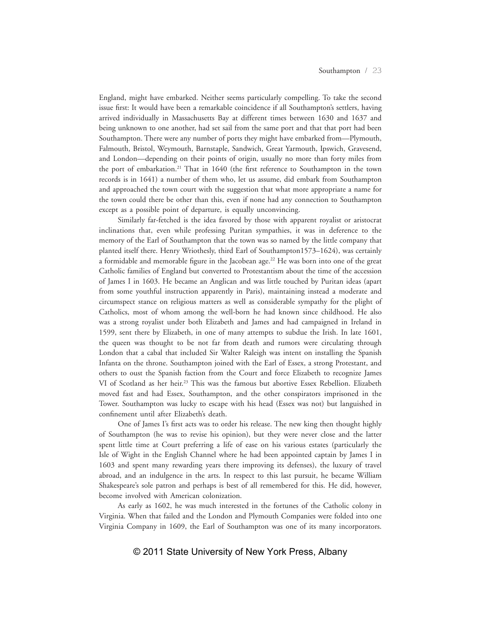England, might have embarked. Neither seems particularly compelling. To take the second issue first: It would have been a remarkable coincidence if all Southampton's settlers, having arrived individually in Massachusetts Bay at different times between 1630 and 1637 and being unknown to one another, had set sail from the same port and that that port had been Southampton. There were any number of ports they might have embarked from—Plymouth, Falmouth, Bristol, Weymouth, Barnstaple, Sandwich, Great Yarmouth, Ipswich, Gravesend, and London—depending on their points of origin, usually no more than forty miles from the port of embarkation.21 That in 1640 (the first reference to Southampton in the town records is in 1641) a number of them who, let us assume, did embark from Southampton and approached the town court with the suggestion that what more appropriate a name for the town could there be other than this, even if none had any connection to Southampton except as a possible point of departure, is equally unconvincing.

Similarly far-fetched is the idea favored by those with apparent royalist or aristocrat inclinations that, even while professing Puritan sympathies, it was in deference to the memory of the Earl of Southampton that the town was so named by the little company that planted itself there. Henry Wriothesly, third Earl of Southampton1573–1624), was certainly a formidable and memorable figure in the Jacobean age.<sup>22</sup> He was born into one of the great Catholic families of England but converted to Protestantism about the time of the accession of James I in 1603. He became an Anglican and was little touched by Puritan ideas (apart from some youthful instruction apparently in Paris), maintaining instead a moderate and circumspect stance on religious matters as well as considerable sympathy for the plight of Catholics, most of whom among the well-born he had known since childhood. He also was a strong royalist under both Elizabeth and James and had campaigned in Ireland in 1599, sent there by Elizabeth, in one of many attempts to subdue the Irish. In late 1601, the queen was thought to be not far from death and rumors were circulating through London that a cabal that included Sir Walter Raleigh was intent on installing the Spanish Infanta on the throne. Southampton joined with the Earl of Essex, a strong Protestant, and others to oust the Spanish faction from the Court and force Elizabeth to recognize James VI of Scotland as her heir.<sup>23</sup> This was the famous but abortive Essex Rebellion. Elizabeth moved fast and had Essex, Southampton, and the other conspirators imprisoned in the Tower. Southampton was lucky to escape with his head (Essex was not) but languished in confinement until after Elizabeth's death.

One of James I's first acts was to order his release. The new king then thought highly of Southampton (he was to revise his opinion), but they were never close and the latter spent little time at Court preferring a life of ease on his various estates (particularly the Isle of Wight in the English Channel where he had been appointed captain by James I in 1603 and spent many rewarding years there improving its defenses), the luxury of travel abroad, and an indulgence in the arts. In respect to this last pursuit, he became William Shakespeare's sole patron and perhaps is best of all remembered for this. He did, however, become involved with American colonization.

As early as 1602, he was much interested in the fortunes of the Catholic colony in Virginia. When that failed and the London and Plymouth Companies were folded into one Virginia Company in 1609, the Earl of Southampton was one of its many incorporators.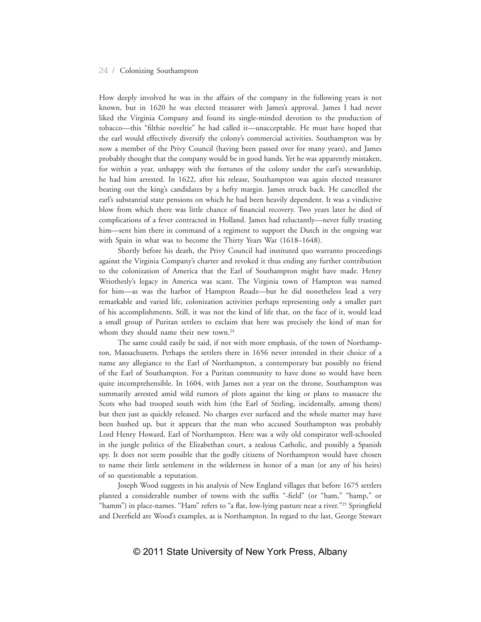How deeply involved he was in the affairs of the company in the following years is not known, but in 1620 he was elected treasurer with James's approval. James I had never liked the Virginia Company and found its single-minded devotion to the production of tobacco—this "filthie noveltie" he had called it—unacceptable. He must have hoped that the earl would effectively diversify the colony's commercial activities. Southampton was by now a member of the Privy Council (having been passed over for many years), and James probably thought that the company would be in good hands. Yet he was apparently mistaken, for within a year, unhappy with the fortunes of the colony under the earl's stewardship, he had him arrested. In 1622, after his release, Southampton was again elected treasurer beating out the king's candidates by a hefty margin. James struck back. He cancelled the earl's substantial state pensions on which he had been heavily dependent. It was a vindictive blow from which there was little chance of financial recovery. Two years later he died of complications of a fever contracted in Holland. James had reluctantly—never fully trusting him—sent him there in command of a regiment to support the Dutch in the ongoing war with Spain in what was to become the Thirty Years War (1618–1648).

Shortly before his death, the Privy Council had instituted quo warranto proceedings against the Virginia Company's charter and revoked it thus ending any further contribution to the colonization of America that the Earl of Southampton might have made. Henry Wriothesly's legacy in America was scant. The Virginia town of Hampton was named for him—as was the harbor of Hampton Roads—but he did nonetheless lead a very remarkable and varied life, colonization activities perhaps representing only a smaller part of his accomplishments. Still, it was not the kind of life that, on the face of it, would lead a small group of Puritan settlers to exclaim that here was precisely the kind of man for whom they should name their new town.<sup>24</sup>

The same could easily be said, if not with more emphasis, of the town of Northampton, Massachusetts. Perhaps the settlers there in 1656 never intended in their choice of a name any allegiance to the Earl of Northampton, a contemporary but possibly no friend of the Earl of Southampton. For a Puritan community to have done so would have been quite incomprehensible. In 1604, with James not a year on the throne, Southampton was summarily arrested amid wild rumors of plots against the king or plans to massacre the Scots who had trooped south with him (the Earl of Stirling, incidentally, among them) but then just as quickly released. No charges ever surfaced and the whole matter may have been hushed up, but it appears that the man who accused Southampton was probably Lord Henry Howard, Earl of Northampton. Here was a wily old conspirator well-schooled in the jungle politics of the Elizabethan court, a zealous Catholic, and possibly a Spanish spy. It does not seem possible that the godly citizens of Northampton would have chosen to name their little settlement in the wilderness in honor of a man (or any of his heirs) of so questionable a reputation.

Joseph Wood suggests in his analysis of New England villages that before 1675 settlers planted a considerable number of towns with the suffix "-field" (or "ham," "hamp," or "hamm") in place-names. "Ham" refers to "a flat, low-lying pasture near a river."<sup>25</sup> Springfield and Deerfield are Wood's examples, as is Northampton. In regard to the last, George Stewart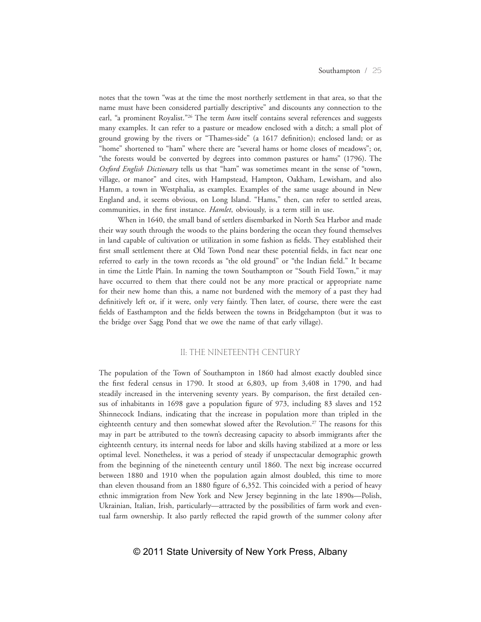notes that the town "was at the time the most northerly settlement in that area, so that the name must have been considered partially descriptive" and discounts any connection to the earl, "a prominent Royalist."<sup>26</sup> The term *ham* itself contains several references and suggests many examples. It can refer to a pasture or meadow enclosed with a ditch; a small plot of ground growing by the rivers or "Thames-side" (a 1617 definition); enclosed land; or as "home" shortened to "ham" where there are "several hams or home closes of meadows"; or, "the forests would be converted by degrees into common pastures or hams" (1796). The *Oxford English Dictionary* tells us that "ham" was sometimes meant in the sense of "town, village, or manor" and cites, with Hampstead, Hampton, Oakham, Lewisham, and also Hamm, a town in Westphalia, as examples. Examples of the same usage abound in New England and, it seems obvious, on Long Island. "Hams," then, can refer to settled areas, communities, in the first instance. *Hamlet*, obviously, is a term still in use.

When in 1640, the small band of settlers disembarked in North Sea Harbor and made their way south through the woods to the plains bordering the ocean they found themselves in land capable of cultivation or utilization in some fashion as fields. They established their first small settlement there at Old Town Pond near these potential fields, in fact near one referred to early in the town records as "the old ground" or "the Indian field." It became in time the Little Plain. In naming the town Southampton or "South Field Town," it may have occurred to them that there could not be any more practical or appropriate name for their new home than this, a name not burdened with the memory of a past they had definitively left or, if it were, only very faintly. Then later, of course, there were the east fields of Easthampton and the fields between the towns in Bridgehampton (but it was to the bridge over Sagg Pond that we owe the name of that early village).

#### II: THE NINETEENTH CENTURY

The population of the Town of Southampton in 1860 had almost exactly doubled since the first federal census in 1790. It stood at 6,803, up from 3,408 in 1790, and had steadily increased in the intervening seventy years. By comparison, the first detailed census of inhabitants in 1698 gave a population figure of 973, including 83 slaves and 152 Shinnecock Indians, indicating that the increase in population more than tripled in the eighteenth century and then somewhat slowed after the Revolution.<sup>27</sup> The reasons for this may in part be attributed to the town's decreasing capacity to absorb immigrants after the eighteenth century, its internal needs for labor and skills having stabilized at a more or less optimal level. Nonetheless, it was a period of steady if unspectacular demographic growth from the beginning of the nineteenth century until 1860. The next big increase occurred between 1880 and 1910 when the population again almost doubled, this time to more than eleven thousand from an 1880 figure of 6,352. This coincided with a period of heavy ethnic immigration from New York and New Jersey beginning in the late 1890s—Polish, Ukrainian, Italian, Irish, particularly—attracted by the possibilities of farm work and eventual farm ownership. It also partly reflected the rapid growth of the summer colony after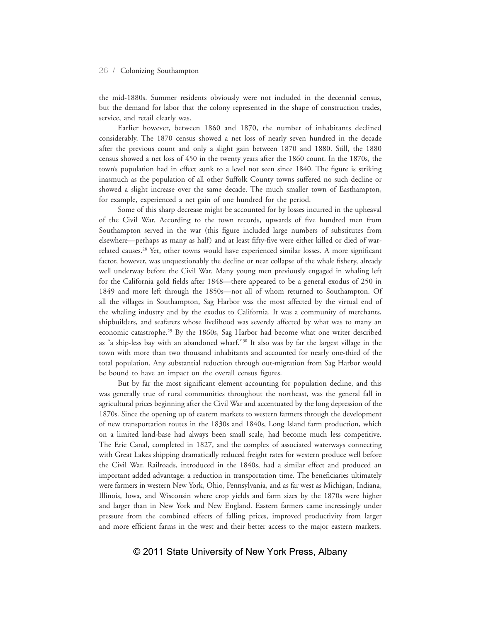the mid-1880s. Summer residents obviously were not included in the decennial census, but the demand for labor that the colony represented in the shape of construction trades, service, and retail clearly was.

Earlier however, between 1860 and 1870, the number of inhabitants declined considerably. The 1870 census showed a net loss of nearly seven hundred in the decade after the previous count and only a slight gain between 1870 and 1880. Still, the 1880 census showed a net loss of 450 in the twenty years after the 1860 count. In the 1870s, the town's population had in effect sunk to a level not seen since 1840. The figure is striking inasmuch as the population of all other Suffolk County towns suffered no such decline or showed a slight increase over the same decade. The much smaller town of Easthampton, for example, experienced a net gain of one hundred for the period.

Some of this sharp decrease might be accounted for by losses incurred in the upheaval of the Civil War. According to the town records, upwards of five hundred men from Southampton served in the war (this figure included large numbers of substitutes from elsewhere—perhaps as many as half) and at least fifty-five were either killed or died of warrelated causes.<sup>28</sup> Yet, other towns would have experienced similar losses. A more significant factor, however, was unquestionably the decline or near collapse of the whale fishery, already well underway before the Civil War. Many young men previously engaged in whaling left for the California gold fields after 1848—there appeared to be a general exodus of 250 in 1849 and more left through the 1850s—not all of whom returned to Southampton. Of all the villages in Southampton, Sag Harbor was the most affected by the virtual end of the whaling industry and by the exodus to California. It was a community of merchants, shipbuilders, and seafarers whose livelihood was severely affected by what was to many an economic catastrophe.29 By the 1860s, Sag Harbor had become what one writer described as "a ship-less bay with an abandoned wharf."30 It also was by far the largest village in the town with more than two thousand inhabitants and accounted for nearly one-third of the total population. Any substantial reduction through out-migration from Sag Harbor would be bound to have an impact on the overall census figures.

But by far the most significant element accounting for population decline, and this was generally true of rural communities throughout the northeast, was the general fall in agricultural prices beginning after the Civil War and accentuated by the long depression of the 1870s. Since the opening up of eastern markets to western farmers through the development of new transportation routes in the 1830s and 1840s, Long Island farm production, which on a limited land-base had always been small scale, had become much less competitive. The Erie Canal, completed in 1827, and the complex of associated waterways connecting with Great Lakes shipping dramatically reduced freight rates for western produce well before the Civil War. Railroads, introduced in the 1840s, had a similar effect and produced an important added advantage: a reduction in transportation time. The beneficiaries ultimately were farmers in western New York, Ohio, Pennsylvania, and as far west as Michigan, Indiana, Illinois, Iowa, and Wisconsin where crop yields and farm sizes by the 1870s were higher and larger than in New York and New England. Eastern farmers came increasingly under pressure from the combined effects of falling prices, improved productivity from larger and more efficient farms in the west and their better access to the major eastern markets.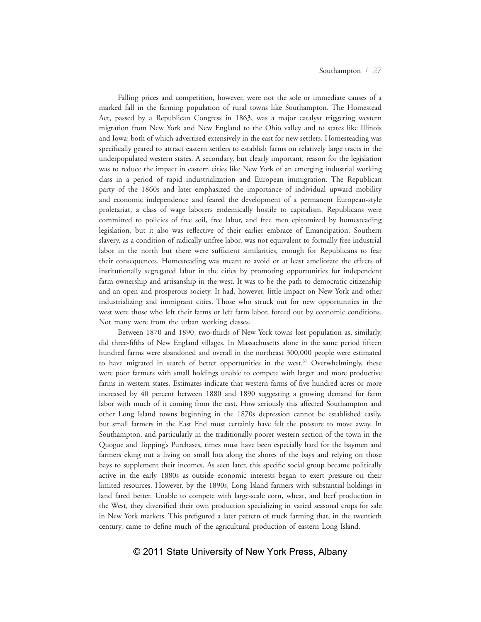Falling prices and competition, however, were not the sole or immediate causes of a marked fall in the farming population of rural towns like Southampton. The Homestead Act, passed by a Republican Congress in 1863, was a major catalyst triggering western migration from New York and New England to the Ohio valley and to states like Illinois and Iowa; both of which advertised extensively in the east for new settlers. Homesteading was specifically geared to attract eastern settlers to establish farms on relatively large tracts in the underpopulated western states. A secondary, but clearly important, reason for the legislation was to reduce the impact in eastern cities like New York of an emerging industrial working class in a period of rapid industrialization and European immigration. The Republican party of the 1860s and later emphasized the importance of individual upward mobility and economic independence and feared the development of a permanent European-style proletariat, a class of wage laborers endemically hostile to capitalism. Republicans were committed to policies of free soil, free labor, and free men epitomized by homesteading legislation, but it also was reflective of their earlier embrace of Emancipation. Southern slavery, as a condition of radically unfree labor, was not equivalent to formally free industrial labor in the north but there were sufficient similarities, enough for Republicans to fear their consequences. Homesteading was meant to avoid or at least ameliorate the effects of institutionally segregated labor in the cities by promoting opportunities for independent farm ownership and artisanship in the west. It was to be the path to democratic citizenship and an open and prosperous society. It had, however, little impact on New York and other industrializing and immigrant cities. Those who struck out for new opportunities in the west were those who left their farms or left farm labor, forced out by economic conditions. Not many were from the urban working classes.

Between 1870 and 1890, two-thirds of New York towns lost population as, similarly, did three-fifths of New England villages. In Massachusetts alone in the same period fifteen hundred farms were abandoned and overall in the northeast 300,000 people were estimated to have migrated in search of better opportunities in the west.<sup>31</sup> Overwhelmingly, these were poor farmers with small holdings unable to compete with larger and more productive farms in western states. Estimates indicate that western farms of five hundred acres or more increased by 40 percent between 1880 and 1890 suggesting a growing demand for farm labor with much of it coming from the east. How seriously this affected Southampton and other Long Island towns beginning in the 1870s depression cannot be established easily, but small farmers in the East End must certainly have felt the pressure to move away. In Southampton, and particularly in the traditionally poorer western section of the town in the Quogue and Topping's Purchases, times must have been especially hard for the baymen and farmers eking out a living on small lots along the shores of the bays and relying on those bays to supplement their incomes. As seen later, this specific social group became politically active in the early 1880s as outside economic interests began to exert pressure on their limited resources. However, by the 1890s, Long Island farmers with substantial holdings in land fared better. Unable to compete with large-scale corn, wheat, and beef production in the West, they diversified their own production specializing in varied seasonal crops for sale in New York markets. This prefigured a later pattern of truck farming that, in the twentieth century, came to define much of the agricultural production of eastern Long Island.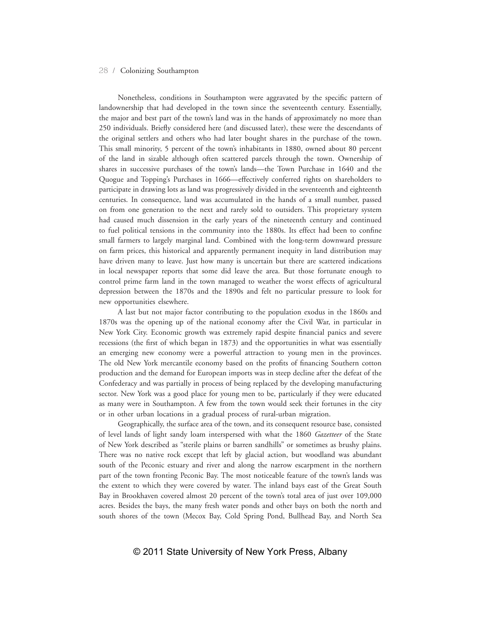Nonetheless, conditions in Southampton were aggravated by the specific pattern of landownership that had developed in the town since the seventeenth century. Essentially, the major and best part of the town's land was in the hands of approximately no more than 250 individuals. Briefly considered here (and discussed later), these were the descendants of the original settlers and others who had later bought shares in the purchase of the town. This small minority, 5 percent of the town's inhabitants in 1880, owned about 80 percent of the land in sizable although often scattered parcels through the town. Ownership of shares in successive purchases of the town's lands—the Town Purchase in 1640 and the Quogue and Topping's Purchases in 1666—effectively conferred rights on shareholders to participate in drawing lots as land was progressively divided in the seventeenth and eighteenth centuries. In consequence, land was accumulated in the hands of a small number, passed on from one generation to the next and rarely sold to outsiders. This proprietary system had caused much dissension in the early years of the nineteenth century and continued to fuel political tensions in the community into the 1880s. Its effect had been to confine small farmers to largely marginal land. Combined with the long-term downward pressure on farm prices, this historical and apparently permanent inequity in land distribution may have driven many to leave. Just how many is uncertain but there are scattered indications in local newspaper reports that some did leave the area. But those fortunate enough to control prime farm land in the town managed to weather the worst effects of agricultural depression between the 1870s and the 1890s and felt no particular pressure to look for new opportunities elsewhere.

A last but not major factor contributing to the population exodus in the 1860s and 1870s was the opening up of the national economy after the Civil War, in particular in New York City. Economic growth was extremely rapid despite financial panics and severe recessions (the first of which began in 1873) and the opportunities in what was essentially an emerging new economy were a powerful attraction to young men in the provinces. The old New York mercantile economy based on the profits of financing Southern cotton production and the demand for European imports was in steep decline after the defeat of the Confederacy and was partially in process of being replaced by the developing manufacturing sector. New York was a good place for young men to be, particularly if they were educated as many were in Southampton. A few from the town would seek their fortunes in the city or in other urban locations in a gradual process of rural-urban migration.

Geographically, the surface area of the town, and its consequent resource base, consisted of level lands of light sandy loam interspersed with what the 1860 *Gazetteer* of the State of New York described as "sterile plains or barren sandhills" or sometimes as brushy plains. There was no native rock except that left by glacial action, but woodland was abundant south of the Peconic estuary and river and along the narrow escarpment in the northern part of the town fronting Peconic Bay. The most noticeable feature of the town's lands was the extent to which they were covered by water. The inland bays east of the Great South Bay in Brookhaven covered almost 20 percent of the town's total area of just over 109,000 acres. Besides the bays, the many fresh water ponds and other bays on both the north and south shores of the town (Mecox Bay, Cold Spring Pond, Bullhead Bay, and North Sea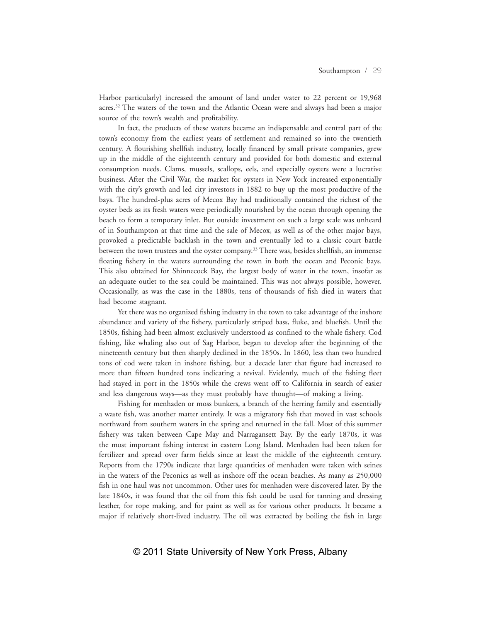Harbor particularly) increased the amount of land under water to 22 percent or 19,968 acres.<sup>32</sup> The waters of the town and the Atlantic Ocean were and always had been a major source of the town's wealth and profitability.

In fact, the products of these waters became an indispensable and central part of the town's economy from the earliest years of settlement and remained so into the twentieth century. A flourishing shellfish industry, locally financed by small private companies, grew up in the middle of the eighteenth century and provided for both domestic and external consumption needs. Clams, mussels, scallops, eels, and especially oysters were a lucrative business. After the Civil War, the market for oysters in New York increased exponentially with the city's growth and led city investors in 1882 to buy up the most productive of the bays. The hundred-plus acres of Mecox Bay had traditionally contained the richest of the oyster beds as its fresh waters were periodically nourished by the ocean through opening the beach to form a temporary inlet. But outside investment on such a large scale was unheard of in Southampton at that time and the sale of Mecox, as well as of the other major bays, provoked a predictable backlash in the town and eventually led to a classic court battle between the town trustees and the oyster company.33 There was, besides shellfish, an immense floating fishery in the waters surrounding the town in both the ocean and Peconic bays. This also obtained for Shinnecock Bay, the largest body of water in the town, insofar as an adequate outlet to the sea could be maintained. This was not always possible, however. Occasionally, as was the case in the 1880s, tens of thousands of fish died in waters that had become stagnant.

Yet there was no organized fishing industry in the town to take advantage of the inshore abundance and variety of the fishery, particularly striped bass, fluke, and bluefish. Until the 1850s, fishing had been almost exclusively understood as confined to the whale fishery. Cod fishing, like whaling also out of Sag Harbor, began to develop after the beginning of the nineteenth century but then sharply declined in the 1850s. In 1860, less than two hundred tons of cod were taken in inshore fishing, but a decade later that figure had increased to more than fifteen hundred tons indicating a revival. Evidently, much of the fishing fleet had stayed in port in the 1850s while the crews went off to California in search of easier and less dangerous ways—as they must probably have thought—of making a living.

Fishing for menhaden or moss bunkers, a branch of the herring family and essentially a waste fish, was another matter entirely. It was a migratory fish that moved in vast schools northward from southern waters in the spring and returned in the fall. Most of this summer fishery was taken between Cape May and Narragansett Bay. By the early 1870s, it was the most important fishing interest in eastern Long Island. Menhaden had been taken for fertilizer and spread over farm fields since at least the middle of the eighteenth century. Reports from the 1790s indicate that large quantities of menhaden were taken with seines in the waters of the Peconics as well as inshore off the ocean beaches. As many as 250,000 fish in one haul was not uncommon. Other uses for menhaden were discovered later. By the late 1840s, it was found that the oil from this fish could be used for tanning and dressing leather, for rope making, and for paint as well as for various other products. It became a major if relatively short-lived industry. The oil was extracted by boiling the fish in large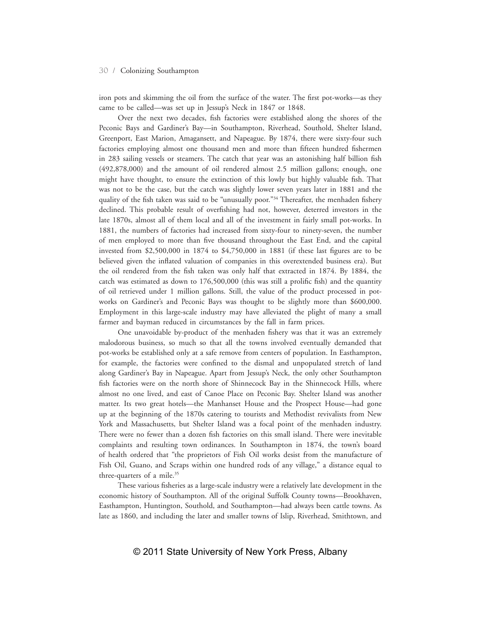iron pots and skimming the oil from the surface of the water. The first pot-works—as they came to be called—was set up in Jessup's Neck in 1847 or 1848.

Over the next two decades, fish factories were established along the shores of the Peconic Bays and Gardiner's Bay—in Southampton, Riverhead, Southold, Shelter Island, Greenport, East Marion, Amagansett, and Napeague. By 1874, there were sixty-four such factories employing almost one thousand men and more than fifteen hundred fishermen in 283 sailing vessels or steamers. The catch that year was an astonishing half billion fish (492,878,000) and the amount of oil rendered almost 2.5 million gallons; enough, one might have thought, to ensure the extinction of this lowly but highly valuable fish. That was not to be the case, but the catch was slightly lower seven years later in 1881 and the quality of the fish taken was said to be "unusually poor."<sup>34</sup> Thereafter, the menhaden fishery declined. This probable result of overfishing had not, however, deterred investors in the late 1870s, almost all of them local and all of the investment in fairly small pot-works. In 1881, the numbers of factories had increased from sixty-four to ninety-seven, the number of men employed to more than five thousand throughout the East End, and the capital invested from \$2,500,000 in 1874 to \$4,750,000 in 1881 (if these last figures are to be believed given the inflated valuation of companies in this overextended business era). But the oil rendered from the fish taken was only half that extracted in 1874. By 1884, the catch was estimated as down to 176,500,000 (this was still a prolific fish) and the quantity of oil retrieved under 1 million gallons. Still, the value of the product processed in potworks on Gardiner's and Peconic Bays was thought to be slightly more than \$600,000. Employment in this large-scale industry may have alleviated the plight of many a small farmer and bayman reduced in circumstances by the fall in farm prices.

One unavoidable by-product of the menhaden fishery was that it was an extremely malodorous business, so much so that all the towns involved eventually demanded that pot-works be established only at a safe remove from centers of population. In Easthampton, for example, the factories were confined to the dismal and unpopulated stretch of land along Gardiner's Bay in Napeague. Apart from Jessup's Neck, the only other Southampton fish factories were on the north shore of Shinnecock Bay in the Shinnecock Hills, where almost no one lived, and east of Canoe Place on Peconic Bay. Shelter Island was another matter. Its two great hotels—the Manhanset House and the Prospect House—had gone up at the beginning of the 1870s catering to tourists and Methodist revivalists from New York and Massachusetts, but Shelter Island was a focal point of the menhaden industry. There were no fewer than a dozen fish factories on this small island. There were inevitable complaints and resulting town ordinances. In Southampton in 1874, the town's board of health ordered that "the proprietors of Fish Oil works desist from the manufacture of Fish Oil, Guano, and Scraps within one hundred rods of any village," a distance equal to three-quarters of a mile.<sup>35</sup>

These various fisheries as a large-scale industry were a relatively late development in the economic history of Southampton. All of the original Suffolk County towns—Brookhaven, Easthampton, Huntington, Southold, and Southampton—had always been cattle towns. As late as 1860, and including the later and smaller towns of Islip, Riverhead, Smithtown, and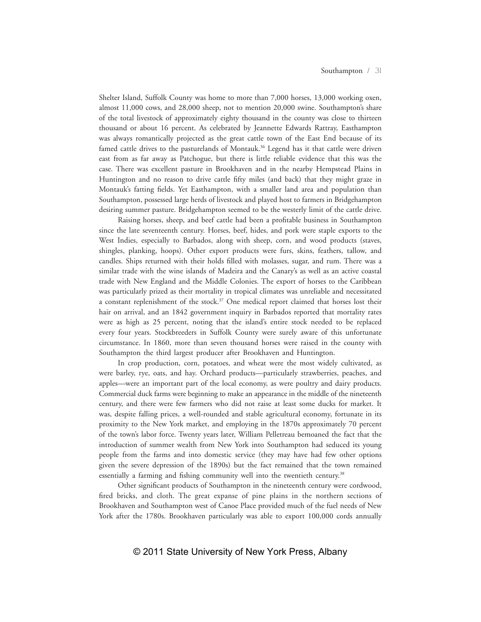Shelter Island, Suffolk County was home to more than 7,000 horses, 13,000 working oxen, almost 11,000 cows, and 28,000 sheep, not to mention 20,000 swine. Southampton's share of the total livestock of approximately eighty thousand in the county was close to thirteen thousand or about 16 percent. As celebrated by Jeannette Edwards Rattray, Easthampton was always romantically projected as the great cattle town of the East End because of its famed cattle drives to the pasturelands of Montauk.<sup>36</sup> Legend has it that cattle were driven east from as far away as Patchogue, but there is little reliable evidence that this was the case. There was excellent pasture in Brookhaven and in the nearby Hempstead Plains in Huntington and no reason to drive cattle fifty miles (and back) that they might graze in Montauk's fatting fields. Yet Easthampton, with a smaller land area and population than Southampton, possessed large herds of livestock and played host to farmers in Bridgehampton desiring summer pasture. Bridgehampton seemed to be the westerly limit of the cattle drive.

Raising horses, sheep, and beef cattle had been a profitable business in Southampton since the late seventeenth century. Horses, beef, hides, and pork were staple exports to the West Indies, especially to Barbados, along with sheep, corn, and wood products (staves, shingles, planking, hoops). Other export products were furs, skins, feathers, tallow, and candles. Ships returned with their holds filled with molasses, sugar, and rum. There was a similar trade with the wine islands of Madeira and the Canary's as well as an active coastal trade with New England and the Middle Colonies. The export of horses to the Caribbean was particularly prized as their mortality in tropical climates was unreliable and necessitated a constant replenishment of the stock. $37$  One medical report claimed that horses lost their hair on arrival, and an 1842 government inquiry in Barbados reported that mortality rates were as high as 25 percent, noting that the island's entire stock needed to be replaced every four years. Stockbreeders in Suffolk County were surely aware of this unfortunate circumstance. In 1860, more than seven thousand horses were raised in the county with Southampton the third largest producer after Brookhaven and Huntington.

In crop production, corn, potatoes, and wheat were the most widely cultivated, as were barley, rye, oats, and hay. Orchard products—particularly strawberries, peaches, and apples—were an important part of the local economy, as were poultry and dairy products. Commercial duck farms were beginning to make an appearance in the middle of the nineteenth century, and there were few farmers who did not raise at least some ducks for market. It was, despite falling prices, a well-rounded and stable agricultural economy, fortunate in its proximity to the New York market, and employing in the 1870s approximately 70 percent of the town's labor force. Twenty years later, William Pelletreau bemoaned the fact that the introduction of summer wealth from New York into Southampton had seduced its young people from the farms and into domestic service (they may have had few other options given the severe depression of the 1890s) but the fact remained that the town remained essentially a farming and fishing community well into the twentieth century.<sup>38</sup>

Other significant products of Southampton in the nineteenth century were cordwood, fired bricks, and cloth. The great expanse of pine plains in the northern sections of Brookhaven and Southampton west of Canoe Place provided much of the fuel needs of New York after the 1780s. Brookhaven particularly was able to export 100,000 cords annually